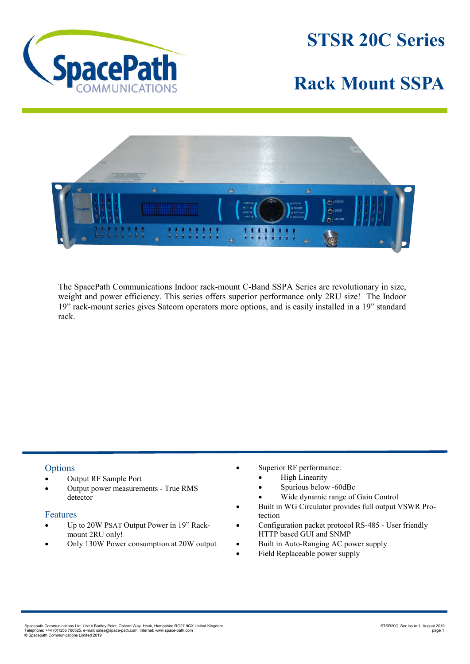

**STSR 20C Series**

## **Rack Mount SSPA**



The SpacePath Communications Indoor rack-mount C-Band SSPA Series are revolutionary in size, weight and power efficiency. This series offers superior performance only 2RU size! The Indoor 19" rack-mount series gives Satcom operators more options, and is easily installed in a 19" standard rack.

## **Options**

- Output RF Sample Port
- Output power measurements True RMS detector

## Features

- Up to 20W PSAT Output Power in 19" Rackmount 2RU only!
- Only 130W Power consumption at 20W output
- Superior RF performance:
	- High Linearity
	- Spurious below -60dBc
	- Wide dynamic range of Gain Control
- Built in WG Circulator provides full output VSWR Protection
- Configuration packet protocol RS-485 User friendly HTTP based GUI and SNMP
- Built in Auto-Ranging AC power supply
- Field Replaceable power supply